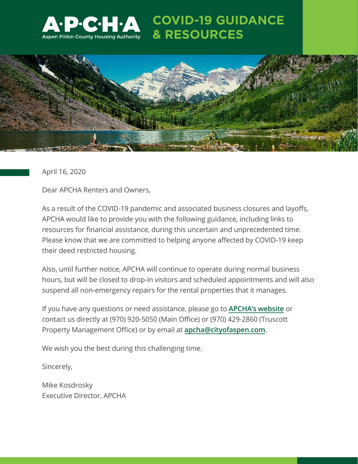

## **COVID-19 GUIDANCE & RESOURCES**



April 16, 2020

Dear APCHA Renters and Owners,

As a result of the COVID-19 pandemic and associated business closures and layoffs, APCHA would like to provide you with the following guidance, including links to resources for financial assistance, during this uncertain and unprecedented time. Please know that we are committed to helping anyone affected by COVID-19 keep their deed restricted housing.

Also, until further notice, APCHA will continue to operate during normal business hours, but will be closed to drop-in visitors and scheduled appointments and will also suspend all non-emergency repairs for the rental properties that it manages.

If you have any questions or need assistance, please go to **[APCHA's website](https://www.apcha.org/)** or contact us directly at (970) 920-5050 (Main Office) or (970) 429-2860 (Truscott Property Management Office) or by email at **[apcha@cityofaspen.com](mailto:apcha%40cityofaspen.com?subject=)**.

We wish you the best during this challenging time.

Sincerely,

Mike Kosdrosky Executive Director, APCHA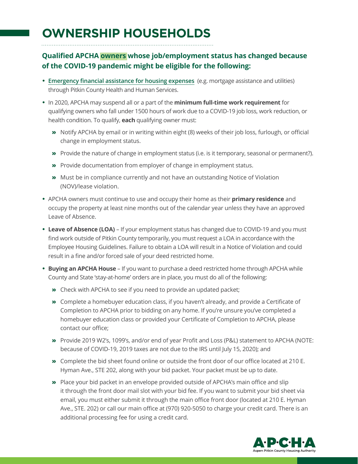# **OWNERSHIP HOUSEHOLDS**

## **Qualified APCHA owners whose job/employment status has changed because of the COVID-19 pandemic might be eligible for the following:**

- **• [Emergency financial assistance for housing expenses](https://docs.google.com/forms/d/e/1FAIpQLSdGPb-hMgfJJNoemUHfa1CxTkP6OVP92yhOzEp08ViDgTsONQ/viewform)** (e.g. mortgage assistance and utilities) through Pitkin County Health and Human Services.
- **•** In 2020, APCHA may suspend all or a part of the **minimum full-time work requirement** for qualifying owners who fall under 1500 hours of work due to a COVID-19 job loss, work reduction, or health condition. To qualify, **each** qualifying owner must:
	- » Notify APCHA by email or in writing within eight (8) weeks of their job loss, furlough, or official change in employment status.
	- » Provide the nature of change in employment status (i.e. is it temporary, seasonal or permanent?).
	- » Provide documentation from employer of change in employment status.
	- » Must be in compliance currently and not have an outstanding Notice of Violation (NOV)/lease violation.
- **•** APCHA owners must continue to use and occupy their home as their **primary residence** and occupy the property at least nine months out of the calendar year unless they have an approved Leave of Absence.
- **• Leave of Absence (LOA)** If your employment status has changed due to COVID-19 and you must find work outside of Pitkin County temporarily, you must request a LOA in accordance with the Employee Housing Guidelines. Failure to obtain a LOA will result in a Notice of Violation and could result in a fine and/or forced sale of your deed restricted home.
- **• Buying an APCHA House** If you want to purchase a deed restricted home through APCHA while County and State 'stay-at-home' orders are in place, you must do all of the following:
	- » Check with APCHA to see if you need to provide an updated packet;
	- » Complete a homebuyer education class, if you haven't already, and provide a Certificate of Completion to APCHA prior to bidding on any home. If you're unsure you've completed a homebuyer education class or provided your Certificate of Completion to APCHA, please contact our office;
	- » Provide 2019 W2's, 1099's, and/or end of year Profit and Loss (P&L) statement to APCHA (NOTE: because of COVID-19, 2019 taxes are not due to the IRS until July 15, 2020); and
	- » Complete the bid sheet found online or outside the front door of our office located at 210 E. Hyman Ave., STE 202, along with your bid packet. Your packet must be up to date.
	- » Place your bid packet in an envelope provided outside of APCHA's main office and slip it through the front door mail slot with your bid fee. If you want to submit your bid sheet via email, you must either submit it through the main office front door (located at 210 E. Hyman Ave., STE. 202) or call our main office at (970) 920-5050 to charge your credit card. There is an additional processing fee for using a credit card.

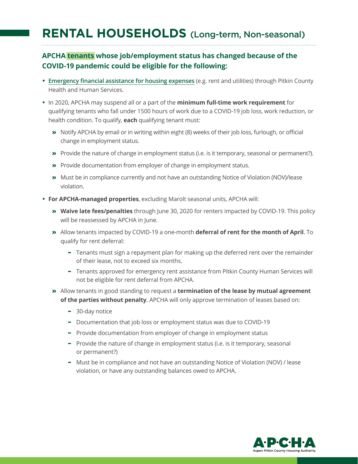## **RENTAL HOUSEHOLDS** (Long-term, Non-seasonal)

## **APCHA tenants whose job/employment status has changed because of the COVID-19 pandemic could be eligible for the following:**

- **• [Emergency financial assistance for housing expenses](https://docs.google.com/forms/d/e/1FAIpQLSdGPb-hMgfJJNoemUHfa1CxTkP6OVP92yhOzEp08ViDgTsONQ/viewform)** (e.g. rent and utilities) through Pitkin County Health and Human Services.
- **•** In 2020, APCHA may suspend all or a part of the **minimum full-time work requirement** for qualifying tenants who fall under 1500 hours of work due to a COVID-19 job loss, work reduction, or health condition. To qualify, **each** qualifying tenant must:
	- » Notify APCHA by email or in writing within eight (8) weeks of their job loss, furlough, or official change in employment status.
	- » Provide the nature of change in employment status (i.e. is it temporary, seasonal or permanent?).
	- » Provide documentation from employer of change in employment status.
	- » Must be in compliance currently and not have an outstanding Notice of Violation (NOV)/lease violation.
- **• For APCHA-managed properties**, excluding Marolt seasonal units, APCHA will:
	- » **Waive late fees/penalties** through June 30, 2020 for renters impacted by COVID-19. This policy will be reassessed by APCHA in June.
	- » Allow tenants impacted by COVID-19 a one-month **deferral of rent for the month of April**. To qualify for rent deferral:
		- Tenants must sign a repayment plan for making up the deferred rent over the remainder of their lease, not to exceed six months.
		- Tenants approved for emergency rent assistance from Pitkin County Human Services will not be eligible for rent deferral from APCHA.
	- » Allow tenants in good standing to request a **termination of the lease by mutual agreement of the parties without penalty**. APCHA will only approve termination of leases based on:
		- 30-day notice
		- Documentation that job loss or employment status was due to COVID-19
		- Provide documentation from employer of change in employment status
		- Provide the nature of change in employment status (i.e. is it temporary, seasonal or permanent?)
		- Must be in compliance and not have an outstanding Notice of Violation (NOV) / lease violation, or have any outstanding balances owed to APCHA.

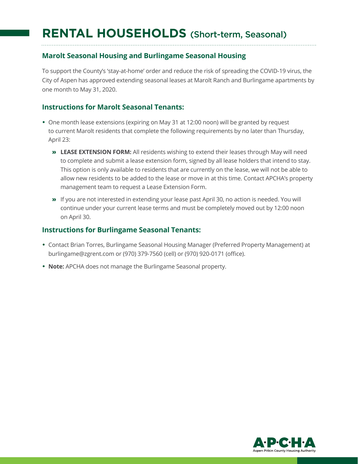## **RENTAL HOUSEHOLDS** (Short-term, Seasonal)

### **Marolt Seasonal Housing and Burlingame Seasonal Housing**

To support the County's 'stay-at-home' order and reduce the risk of spreading the COVID-19 virus, the City of Aspen has approved extending seasonal leases at Marolt Ranch and Burlingame apartments by one month to May 31, 2020.

#### **Instructions for Marolt Seasonal Tenants:**

- **•** One month lease extensions (expiring on May 31 at 12:00 noon) will be granted by request to current Marolt residents that complete the following requirements by no later than Thursday, April 23:
	- » **LEASE EXTENSION FORM:** All residents wishing to extend their leases through May will need to complete and submit a lease extension form, signed by all lease holders that intend to stay. This option is only available to residents that are currently on the lease, we will not be able to allow new residents to be added to the lease or move in at this time. Contact APCHA's property management team to request a Lease Extension Form.
	- » If you are not interested in extending your lease past April 30, no action is needed. You will continue under your current lease terms and must be completely moved out by 12:00 noon on April 30.

#### **Instructions for Burlingame Seasonal Tenants:**

- **•** Contact Brian Torres, Burlingame Seasonal Housing Manager (Preferred Property Management) at burlingame@zgrent.com or (970) 379-7560 (cell) or (970) 920-0171 (office).
- **• Note:** APCHA does not manage the Burlingame Seasonal property.

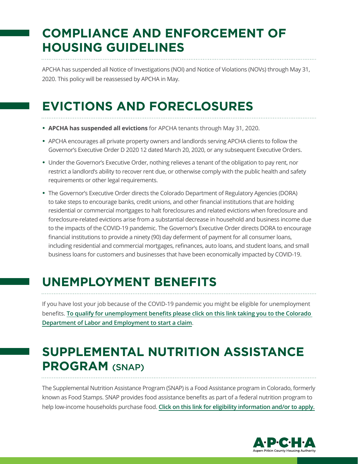# **COMPLIANCE AND ENFORCEMENT OF HOUSING GUIDELINES**

APCHA has suspended all Notice of Investigations (NOI) and Notice of Violations (NOVs) through May 31, 2020. This policy will be reassessed by APCHA in May.

# **EVICTIONS AND FORECLOSURES**

- **• APCHA has suspended all evictions** for APCHA tenants through May 31, 2020.
- **•** APCHA encourages all private property owners and landlords serving APCHA clients to follow the Governor's Executive Order D 2020 12 dated March 20, 2020, or any subsequent Executive Orders.
- **•** Under the Governor's Executive Order, nothing relieves a tenant of the obligation to pay rent, nor restrict a landlord's ability to recover rent due, or otherwise comply with the public health and safety requirements or other legal requirements.
- **•** The Governor's Executive Order directs the Colorado Department of Regulatory Agencies (DORA) to take steps to encourage banks, credit unions, and other financial institutions that are holding residential or commercial mortgages to halt foreclosures and related evictions when foreclosure and foreclosure-related evictions arise from a substantial decrease in household and business income due to the impacts of the COVID-19 pandemic. The Governor's Executive Order directs DORA to encourage financial institutions to provide a ninety (90) day deferment of payment for all consumer loans, including residential and commercial mortgages, refinances, auto loans, and student loans, and small business loans for customers and businesses that have been economically impacted by COVID-19.

## **UNEMPLOYMENT BENEFITS**

If you have lost your job because of the COVID-19 pandemic you might be eligible for unemployment benefits. **[To qualify for unemployment benefits please click on this link taking you to the Colorado](https://www.colorado.gov/pacific/cdle/start-a-claim)  [Department of Labor and Employment to start a claim](https://www.colorado.gov/pacific/cdle/start-a-claim)**.

# **SUPPLEMENTAL NUTRITION ASSISTANCE PROGRAM** (SNAP)

The Supplemental Nutrition Assistance Program (SNAP) is a Food Assistance program in Colorado, formerly known as Food Stamps. SNAP provides food assistance benefits as part of a federal nutrition program to help low-income households purchase food. **[Click on this link for eligibility information and/or to apply.](https://www.colorado.gov/pacific/cdhs/supplemental-nutrition-assistance-program-snap)**

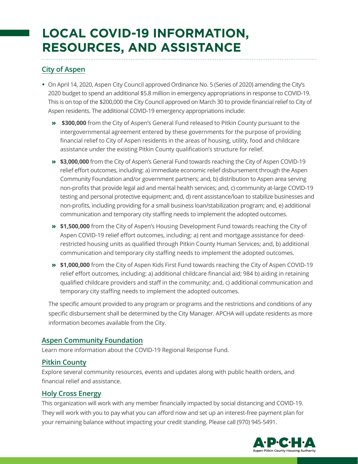# **LOCAL COVID-19 INFORMATION, RESOURCES, AND ASSISTANCE**

### **[City of Aspen](https://cityofaspen.com/1279/COVID-19)**

- **•** On April 14, 2020, Aspen City Council approved Ordinance No. 5 (Series of 2020) amending the City's 2020 budget to spend an additional \$5.8 million in emergency appropriations in response to COVID-19. This is on top of the \$200,000 the City Council approved on March 30 to provide financial relief to City of Aspen residents. The additional COVID-19 emergency appropriations include:
	- » **\$300,000** from the City of Aspen's General Fund released to Pitkin County pursuant to the intergovernmental agreement entered by these governments for the purpose of providing financial relief to City of Aspen residents in the areas of housing, utility, food and childcare assistance under the existing Pitkin County qualification's structure for relief.
	- » **\$3,000,000** from the City of Aspen's General Fund towards reaching the City of Aspen COVID-19 relief effort outcomes, including: a) immediate economic relief disbursement through the Aspen Community Foundation and/or government partners; and, b) distribution to Aspen area serving non-profits that provide legal aid and mental health services; and, c) community at-large COVID-19 testing and personal protective equipment; and, d) rent assistance/loan to stabilize businesses and non-profits, including providing for a small business loan/stabilization program; and, e) additional communication and temporary city staffing needs to implement the adopted outcomes.
	- » **\$1,500,000** from the City of Aspen's Housing Development Fund towards reaching the City of Aspen COVID-19 relief effort outcomes, including: a) rent and mortgage assistance for deedrestricted housing units as qualified through Pitkin County Human Services; and, b) additional communication and temporary city staffing needs to implement the adopted outcomes.
	- » **\$1,000,000** from the City of Aspen Kids First Fund towards reaching the City of Aspen COVID-19 relief effort outcomes, including: a) additional childcare financial aid; 984 b) aiding in retaining qualified childcare providers and staff in the community; and, c) additional communication and temporary city staffing needs to implement the adopted outcomes.

The specific amount provided to any program or programs and the restrictions and conditions of any specific disbursement shall be determined by the City Manager. APCHA will update residents as more information becomes available from the City.

### **[Aspen Community Foundation](https://aspencommunityfoundation.org/)**

Learn more information about the COVID-19 Regional Response Fund.

### **[Pitkin County](https://pitkincounty.com/1297/COVID-19)**

Explore several community resources, events and updates along with public health orders, and financial relief and assistance.

### **[Holy Cross Energy](https://www.holycross.com/covid-19-financial-hardship-resources/)**

This organization will work with any member financially impacted by social distancing and COVID-19. They will work with you to pay what you can afford now and set up an interest-free payment plan for your remaining balance without impacting your credit standing. Please call (970) 945-5491.